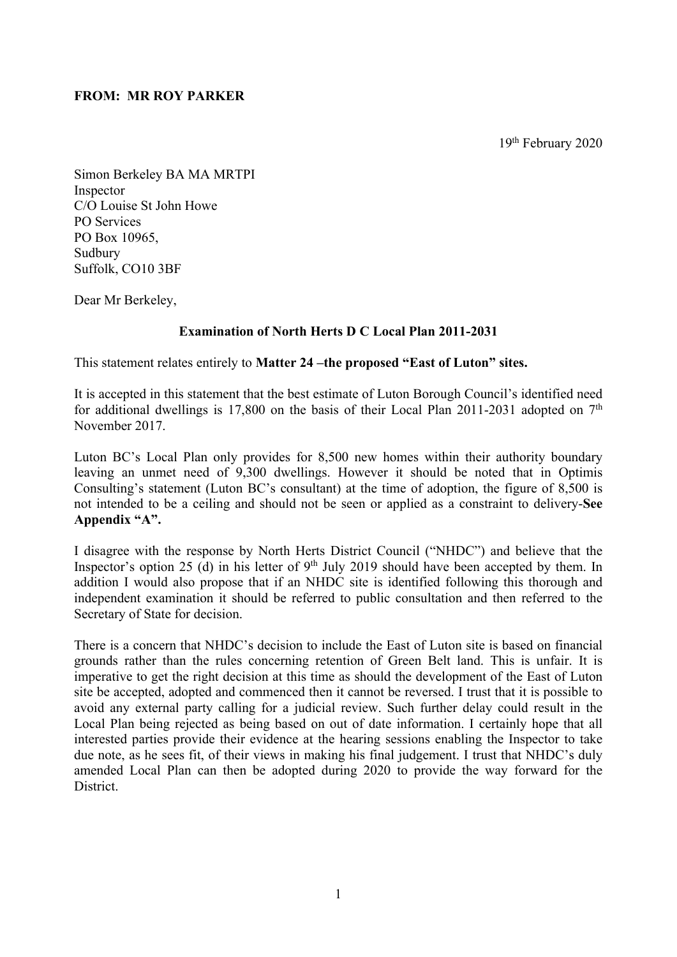### **FROM: MR ROY PARKER**

19th February 2020

Simon Berkeley BA MA MRTPI Inspector C/O Louise St John Howe PO Services PO Box 10965, Sudbury Suffolk, CO10 3BF

Dear Mr Berkeley,

### **Examination of North Herts D C Local Plan 2011-2031**

This statement relates entirely to **Matter 24 –the proposed "East of Luton" sites.**

It is accepted in this statement that the best estimate of Luton Borough Council's identified need for additional dwellings is 17,800 on the basis of their Local Plan 2011-2031 adopted on  $7<sup>th</sup>$ November 2017.

Luton BC's Local Plan only provides for 8,500 new homes within their authority boundary leaving an unmet need of 9,300 dwellings. However it should be noted that in Optimis Consulting's statement (Luton BC's consultant) at the time of adoption, the figure of 8,500 is not intended to be a ceiling and should not be seen or applied as a constraint to delivery-**See Appendix "A".**

I disagree with the response by North Herts District Council ("NHDC") and believe that the Inspector's option 25 (d) in his letter of  $9<sup>th</sup>$  July 2019 should have been accepted by them. In addition I would also propose that if an NHDC site is identified following this thorough and independent examination it should be referred to public consultation and then referred to the Secretary of State for decision.

There is a concern that NHDC's decision to include the East of Luton site is based on financial grounds rather than the rules concerning retention of Green Belt land. This is unfair. It is imperative to get the right decision at this time as should the development of the East of Luton site be accepted, adopted and commenced then it cannot be reversed. I trust that it is possible to avoid any external party calling for a judicial review. Such further delay could result in the Local Plan being rejected as being based on out of date information. I certainly hope that all interested parties provide their evidence at the hearing sessions enabling the Inspector to take due note, as he sees fit, of their views in making his final judgement. I trust that NHDC's duly amended Local Plan can then be adopted during 2020 to provide the way forward for the District.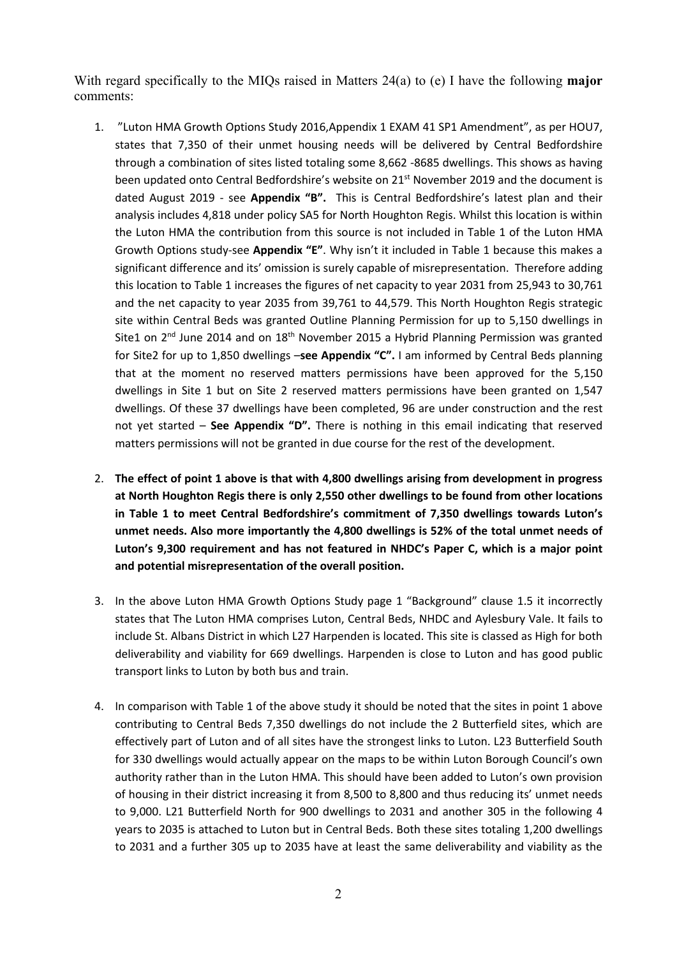With regard specifically to the MIQs raised in Matters 24(a) to (e) I have the following **major**  comments:

- 1. "Luton HMA Growth Options Study 2016,Appendix 1 EXAM 41 SP1 Amendment", as per HOU7, states that 7,350 of their unmet housing needs will be delivered by Central Bedfordshire through a combination of sites listed totaling some 8,662 -8685 dwellings. This shows as having been updated onto Central Bedfordshire's website on 21<sup>st</sup> November 2019 and the document is dated August 2019 - see **Appendix "B".** This is Central Bedfordshire's latest plan and their analysis includes 4,818 under policy SA5 for North Houghton Regis. Whilst this location is within the Luton HMA the contribution from this source is not included in Table 1 of the Luton HMA Growth Options study-see **Appendix "E"**. Why isn't it included in Table 1 because this makes a significant difference and its' omission is surely capable of misrepresentation. Therefore adding this location to Table 1 increases the figures of net capacity to year 2031 from 25,943 to 30,761 and the net capacity to year 2035 from 39,761 to 44,579. This North Houghton Regis strategic site within Central Beds was granted Outline Planning Permission for up to 5,150 dwellings in Site1 on  $2<sup>nd</sup>$  June 2014 and on  $18<sup>th</sup>$  November 2015 a Hybrid Planning Permission was granted for Site2 for up to 1,850 dwellings –**see Appendix "C".** I am informed by Central Beds planning that at the moment no reserved matters permissions have been approved for the 5,150 dwellings in Site 1 but on Site 2 reserved matters permissions have been granted on 1,547 dwellings. Of these 37 dwellings have been completed, 96 are under construction and the rest not yet started – **See Appendix "D".** There is nothing in this email indicating that reserved matters permissions will not be granted in due course for the rest of the development.
- 2. **The effect of point 1 above is that with 4,800 dwellings arising from development in progress at North Houghton Regis there is only 2,550 other dwellings to be found from other locations in Table 1 to meet Central Bedfordshire's commitment of 7,350 dwellings towards Luton's unmet needs. Also more importantly the 4,800 dwellings is 52% of the total unmet needs of Luton's 9,300 requirement and has not featured in NHDC's Paper C, which is a major point and potential misrepresentation of the overall position.**
- 3. In the above Luton HMA Growth Options Study page 1 "Background" clause 1.5 it incorrectly states that The Luton HMA comprises Luton, Central Beds, NHDC and Aylesbury Vale. It fails to include St. Albans District in which L27 Harpenden is located. This site is classed as High for both deliverability and viability for 669 dwellings. Harpenden is close to Luton and has good public transport links to Luton by both bus and train.
- 4. In comparison with Table 1 of the above study it should be noted that the sites in point 1 above contributing to Central Beds 7,350 dwellings do not include the 2 Butterfield sites, which are effectively part of Luton and of all sites have the strongest links to Luton. L23 Butterfield South for 330 dwellings would actually appear on the maps to be within Luton Borough Council's own authority rather than in the Luton HMA. This should have been added to Luton's own provision of housing in their district increasing it from 8,500 to 8,800 and thus reducing its' unmet needs to 9,000. L21 Butterfield North for 900 dwellings to 2031 and another 305 in the following 4 years to 2035 is attached to Luton but in Central Beds. Both these sites totaling 1,200 dwellings to 2031 and a further 305 up to 2035 have at least the same deliverability and viability as the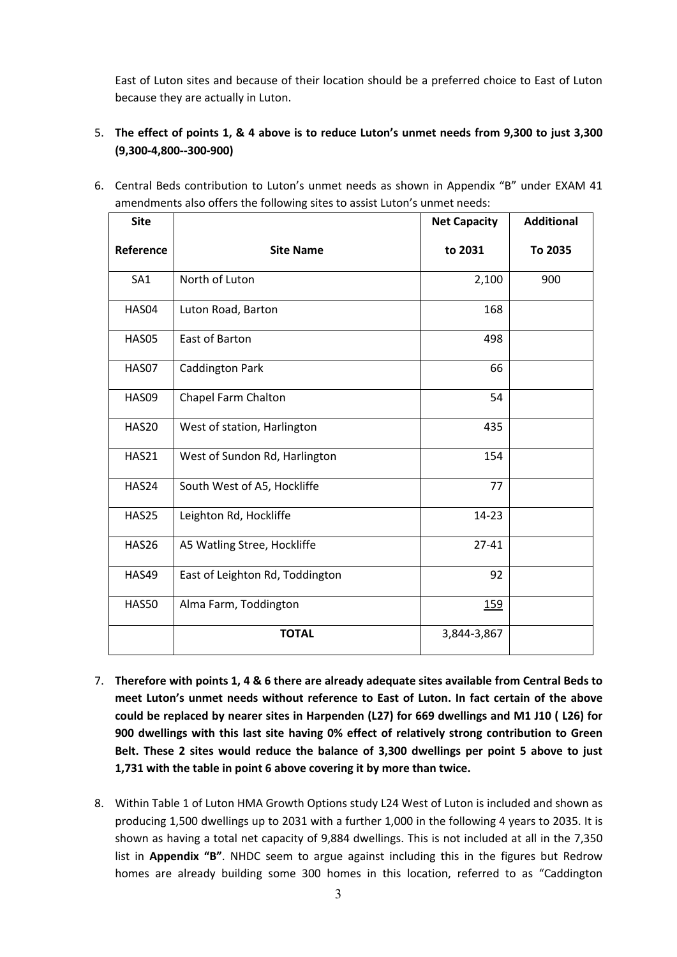East of Luton sites and because of their location should be a preferred choice to East of Luton because they are actually in Luton.

# 5. **The effect of points 1, & 4 above is to reduce Luton's unmet needs from 9,300 to just 3,300 (9,300-4,800--300-900)**

| <b>Site</b>     |                                 | <b>Net Capacity</b> | <b>Additional</b> |
|-----------------|---------------------------------|---------------------|-------------------|
| Reference       | <b>Site Name</b>                | to 2031             | To 2035           |
| SA <sub>1</sub> | North of Luton                  | 2,100               | 900               |
| HAS04           | Luton Road, Barton              | 168                 |                   |
| <b>HAS05</b>    | East of Barton                  | 498                 |                   |
| HAS07           | <b>Caddington Park</b>          | 66                  |                   |
| HAS09           | Chapel Farm Chalton             | 54                  |                   |
| <b>HAS20</b>    | West of station, Harlington     | 435                 |                   |
| <b>HAS21</b>    | West of Sundon Rd, Harlington   | 154                 |                   |
| HAS24           | South West of A5, Hockliffe     | 77                  |                   |
| HAS25           | Leighton Rd, Hockliffe          | 14-23               |                   |
| <b>HAS26</b>    | A5 Watling Stree, Hockliffe     | $27 - 41$           |                   |
| <b>HAS49</b>    | East of Leighton Rd, Toddington | 92                  |                   |
| <b>HAS50</b>    | Alma Farm, Toddington           | <u>159</u>          |                   |
|                 | <b>TOTAL</b>                    | 3,844-3,867         |                   |

6. Central Beds contribution to Luton's unmet needs as shown in Appendix "B" under EXAM 41 amendments also offers the following sites to assist Luton's unmet needs:

- 7. **Therefore with points 1, 4 & 6 there are already adequate sites available from Central Beds to meet Luton's unmet needs without reference to East of Luton. In fact certain of the above could be replaced by nearer sites in Harpenden (L27) for 669 dwellings and M1 J10 ( L26) for 900 dwellings with this last site having 0% effect of relatively strong contribution to Green Belt. These 2 sites would reduce the balance of 3,300 dwellings per point 5 above to just 1,731 with the table in point 6 above covering it by more than twice.**
- 8. Within Table 1 of Luton HMA Growth Options study L24 West of Luton is included and shown as producing 1,500 dwellings up to 2031 with a further 1,000 in the following 4 years to 2035. It is shown as having a total net capacity of 9,884 dwellings. This is not included at all in the 7,350 list in **Appendix "B"**. NHDC seem to argue against including this in the figures but Redrow homes are already building some 300 homes in this location, referred to as "Caddington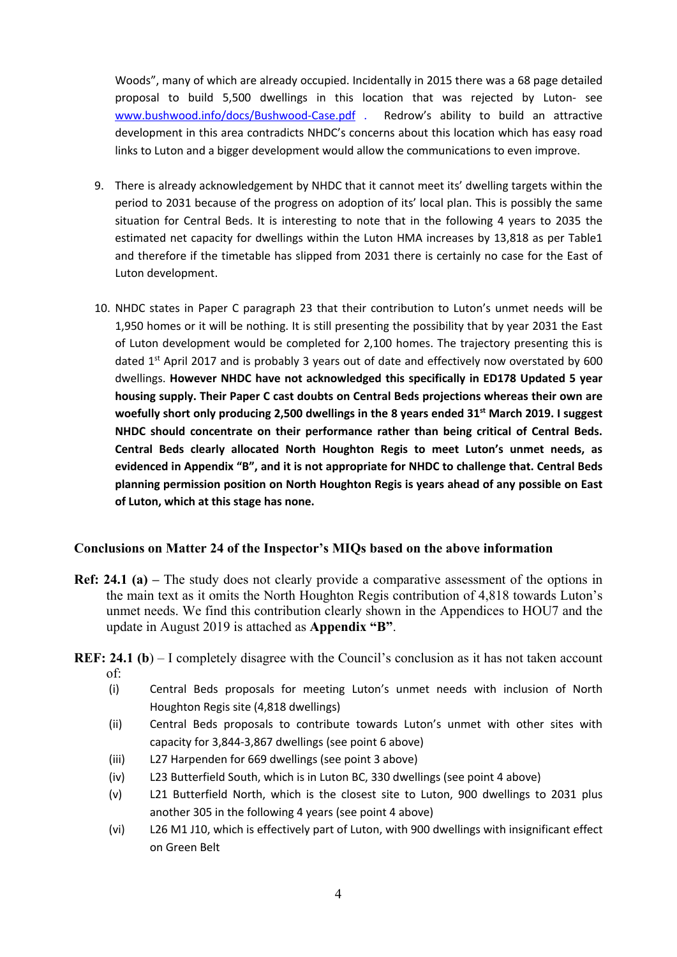Woods", many of which are already occupied. Incidentally in 2015 there was a 68 page detailed proposal to build 5,500 dwellings in this location that was rejected by Luton- see www.bushwood.info/docs/Bushwood-Case.pdf . Redrow's ability to build an attractive development in this area contradicts NHDC's concerns about this location which has easy road links to Luton and a bigger development would allow the communications to even improve.

- 9. There is already acknowledgement by NHDC that it cannot meet its' dwelling targets within the period to 2031 because of the progress on adoption of its' local plan. This is possibly the same situation for Central Beds. It is interesting to note that in the following 4 years to 2035 the estimated net capacity for dwellings within the Luton HMA increases by 13,818 as per Table1 and therefore if the timetable has slipped from 2031 there is certainly no case for the East of Luton development.
- 10. NHDC states in Paper C paragraph 23 that their contribution to Luton's unmet needs will be 1,950 homes or it will be nothing. It is still presenting the possibility that by year 2031 the East of Luton development would be completed for 2,100 homes. The trajectory presenting this is dated  $1<sup>st</sup>$  April 2017 and is probably 3 years out of date and effectively now overstated by 600 dwellings. **However NHDC have not acknowledged this specifically in ED178 Updated 5 year housing supply. Their Paper C cast doubts on Central Beds projections whereas their own are woefully short only producing 2,500 dwellings in the 8 years ended 31st March 2019. I suggest NHDC should concentrate on their performance rather than being critical of Central Beds. Central Beds clearly allocated North Houghton Regis to meet Luton's unmet needs, as evidenced in Appendix "B", and it is not appropriate for NHDC to challenge that. Central Beds planning permission position on North Houghton Regis is years ahead of any possible on East of Luton, which at this stage has none.**

# **Conclusions on Matter 24 of the Inspector's MIQs based on the above information**

- **Ref: 24.1 (a)** The study does not clearly provide a comparative assessment of the options in the main text as it omits the North Houghton Regis contribution of 4,818 towards Luton's unmet needs. We find this contribution clearly shown in the Appendices to HOU7 and the update in August 2019 is attached as **Appendix "B"**.
- **REF: 24.1 (b)** I completely disagree with the Council's conclusion as it has not taken account of:
	- (i) Central Beds proposals for meeting Luton's unmet needs with inclusion of North Houghton Regis site (4,818 dwellings)
	- (ii) Central Beds proposals to contribute towards Luton's unmet with other sites with capacity for 3,844-3,867 dwellings (see point 6 above)
	- (iii) L27 Harpenden for 669 dwellings (see point 3 above)
	- (iv) L23 Butterfield South, which is in Luton BC, 330 dwellings (see point 4 above)
	- (v) L21 Butterfield North, which is the closest site to Luton, 900 dwellings to 2031 plus another 305 in the following 4 years (see point 4 above)
	- (vi) L26 M1 J10, which is effectively part of Luton, with 900 dwellings with insignificant effect on Green Belt